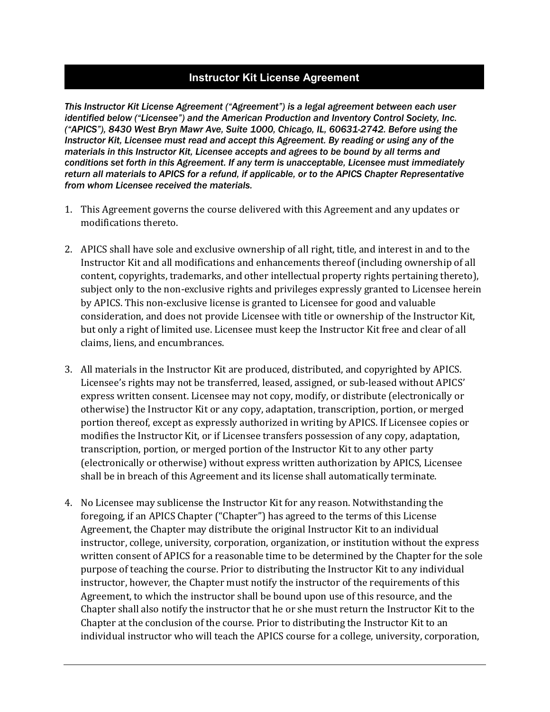## **Instructor Kit License Agreement**

*This Instructor Kit License Agreement ("Agreement") is a legal agreement between each user identified below ("Licensee") and the American Production and Inventory Control Society, Inc. ("APICS"), 8430 West Bryn Mawr Ave, Suite 1000, Chicago, IL, 60631-2742. Before using the Instructor Kit, Licensee must read and accept this Agreement. By reading or using any of the materials in this Instructor Kit, Licensee accepts and agrees to be bound by all terms and conditions set forth in this Agreement. If any term is unacceptable, Licensee must immediately return all materials to APICS for a refund, if applicable, or to the APICS Chapter Representative from whom Licensee received the materials.* 

- 1. This Agreement governs the course delivered with this Agreement and any updates or modifications thereto.
- 2. APICS shall have sole and exclusive ownership of all right, title, and interest in and to the Instructor Kit and all modifications and enhancements thereof (including ownership of all content, copyrights, trademarks, and other intellectual property rights pertaining thereto), subject only to the non-exclusive rights and privileges expressly granted to Licensee herein by APICS. This non-exclusive license is granted to Licensee for good and valuable consideration, and does not provide Licensee with title or ownership of the Instructor Kit, but only a right of limited use. Licensee must keep the Instructor Kit free and clear of all claims, liens, and encumbrances.
- 3. All materials in the Instructor Kit are produced, distributed, and copyrighted by APICS. Licensee's rights may not be transferred, leased, assigned, or sub-leased without APICS' express written consent. Licensee may not copy, modify, or distribute (electronically or otherwise) the Instructor Kit or any copy, adaptation, transcription, portion, or merged portion thereof, except as expressly authorized in writing by APICS. If Licensee copies or modifies the Instructor Kit, or if Licensee transfers possession of any copy, adaptation, transcription, portion, or merged portion of the Instructor Kit to any other party (electronically or otherwise) without express written authorization by APICS, Licensee shall be in breach of this Agreement and its license shall automatically terminate.
- 4. No Licensee may sublicense the Instructor Kit for any reason. Notwithstanding the foregoing, if an APICS Chapter ("Chapter") has agreed to the terms of this License Agreement, the Chapter may distribute the original Instructor Kit to an individual instructor, college, university, corporation, organization, or institution without the express written consent of APICS for a reasonable time to be determined by the Chapter for the sole purpose of teaching the course. Prior to distributing the Instructor Kit to any individual instructor, however, the Chapter must notify the instructor of the requirements of this Agreement, to which the instructor shall be bound upon use of this resource, and the Chapter shall also notify the instructor that he or she must return the Instructor Kit to the Chapter at the conclusion of the course. Prior to distributing the Instructor Kit to an individual instructor who will teach the APICS course for a college, university, corporation,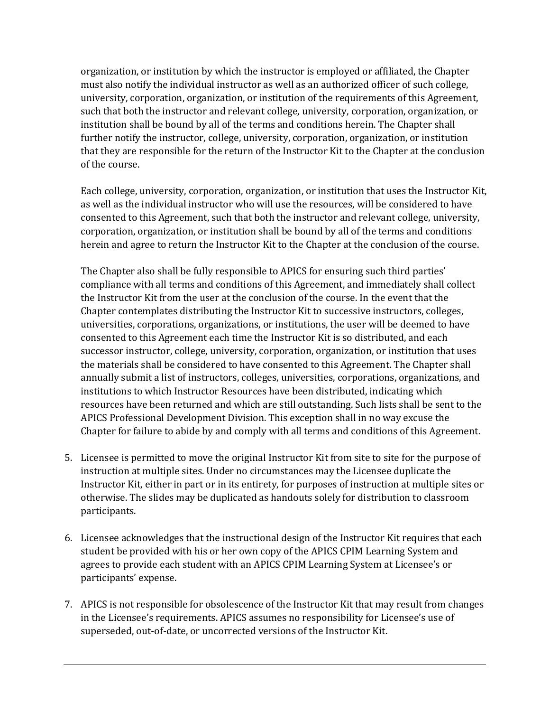organization, or institution by which the instructor is employed or affiliated, the Chapter must also notify the individual instructor as well as an authorized officer of such college, university, corporation, organization, or institution of the requirements of this Agreement, such that both the instructor and relevant college, university, corporation, organization, or institution shall be bound by all of the terms and conditions herein. The Chapter shall further notify the instructor, college, university, corporation, organization, or institution that they are responsible for the return of the Instructor Kit to the Chapter at the conclusion of the course.

Each college, university, corporation, organization, or institution that uses the Instructor Kit, as well as the individual instructor who will use the resources, will be considered to have consented to this Agreement, such that both the instructor and relevant college, university, corporation, organization, or institution shall be bound by all of the terms and conditions herein and agree to return the Instructor Kit to the Chapter at the conclusion of the course.

The Chapter also shall be fully responsible to APICS for ensuring such third parties' compliance with all terms and conditions of this Agreement, and immediately shall collect the Instructor Kit from the user at the conclusion of the course. In the event that the Chapter contemplates distributing the Instructor Kit to successive instructors, colleges, universities, corporations, organizations, or institutions, the user will be deemed to have consented to this Agreement each time the Instructor Kit is so distributed, and each successor instructor, college, university, corporation, organization, or institution that uses the materials shall be considered to have consented to this Agreement. The Chapter shall annually submit a list of instructors, colleges, universities, corporations, organizations, and institutions to which Instructor Resources have been distributed, indicating which resources have been returned and which are still outstanding. Such lists shall be sent to the APICS Professional Development Division. This exception shall in no way excuse the Chapter for failure to abide by and comply with all terms and conditions of this Agreement.

- 5. Licensee is permitted to move the original Instructor Kit from site to site for the purpose of instruction at multiple sites. Under no circumstances may the Licensee duplicate the Instructor Kit, either in part or in its entirety, for purposes of instruction at multiple sites or otherwise. The slides may be duplicated as handouts solely for distribution to classroom participants.
- 6. Licensee acknowledges that the instructional design of the Instructor Kit requires that each student be provided with his or her own copy of the APICS CPIM Learning System and agrees to provide each student with an APICS CPIM Learning System at Licensee's or participants' expense.
- 7. APICS is not responsible for obsolescence of the Instructor Kit that may result from changes in the Licensee's requirements. APICS assumes no responsibility for Licensee's use of superseded, out-of-date, or uncorrected versions of the Instructor Kit.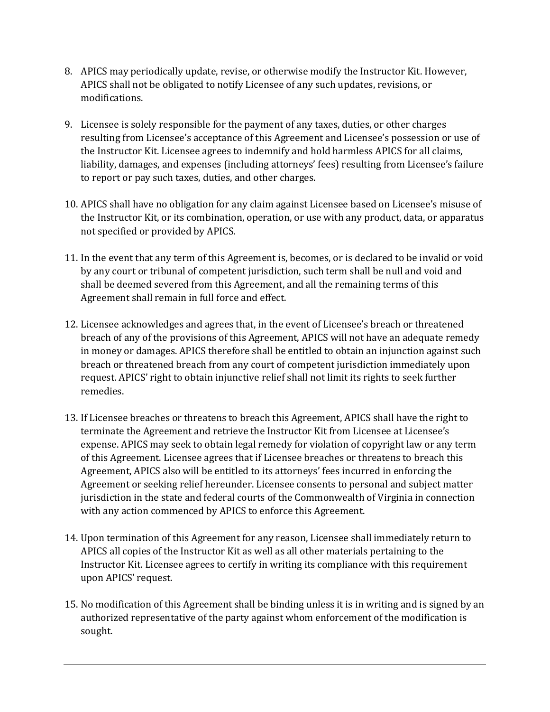- 8. APICS may periodically update, revise, or otherwise modify the Instructor Kit. However, APICS shall not be obligated to notify Licensee of any such updates, revisions, or modifications.
- 9. Licensee is solely responsible for the payment of any taxes, duties, or other charges resulting from Licensee's acceptance of this Agreement and Licensee's possession or use of the Instructor Kit. Licensee agrees to indemnify and hold harmless APICS for all claims, liability, damages, and expenses (including attorneys' fees) resulting from Licensee's failure to report or pay such taxes, duties, and other charges.
- 10. APICS shall have no obligation for any claim against Licensee based on Licensee's misuse of the Instructor Kit, or its combination, operation, or use with any product, data, or apparatus not specified or provided by APICS.
- 11. In the event that any term of this Agreement is, becomes, or is declared to be invalid or void by any court or tribunal of competent jurisdiction, such term shall be null and void and shall be deemed severed from this Agreement, and all the remaining terms of this Agreement shall remain in full force and effect.
- 12. Licensee acknowledges and agrees that, in the event of Licensee's breach or threatened breach of any of the provisions of this Agreement, APICS will not have an adequate remedy in money or damages. APICS therefore shall be entitled to obtain an injunction against such breach or threatened breach from any court of competent jurisdiction immediately upon request. APICS' right to obtain injunctive relief shall not limit its rights to seek further remedies.
- 13. If Licensee breaches or threatens to breach this Agreement, APICS shall have the right to terminate the Agreement and retrieve the Instructor Kit from Licensee at Licensee's expense. APICS may seek to obtain legal remedy for violation of copyright law or any term of this Agreement. Licensee agrees that if Licensee breaches or threatens to breach this Agreement, APICS also will be entitled to its attorneys' fees incurred in enforcing the Agreement or seeking relief hereunder. Licensee consents to personal and subject matter jurisdiction in the state and federal courts of the Commonwealth of Virginia in connection with any action commenced by APICS to enforce this Agreement.
- 14. Upon termination of this Agreement for any reason, Licensee shall immediately return to APICS all copies of the Instructor Kit as well as all other materials pertaining to the Instructor Kit. Licensee agrees to certify in writing its compliance with this requirement upon APICS' request.
- 15. No modification of this Agreement shall be binding unless it is in writing and is signed by an authorized representative of the party against whom enforcement of the modification is sought.